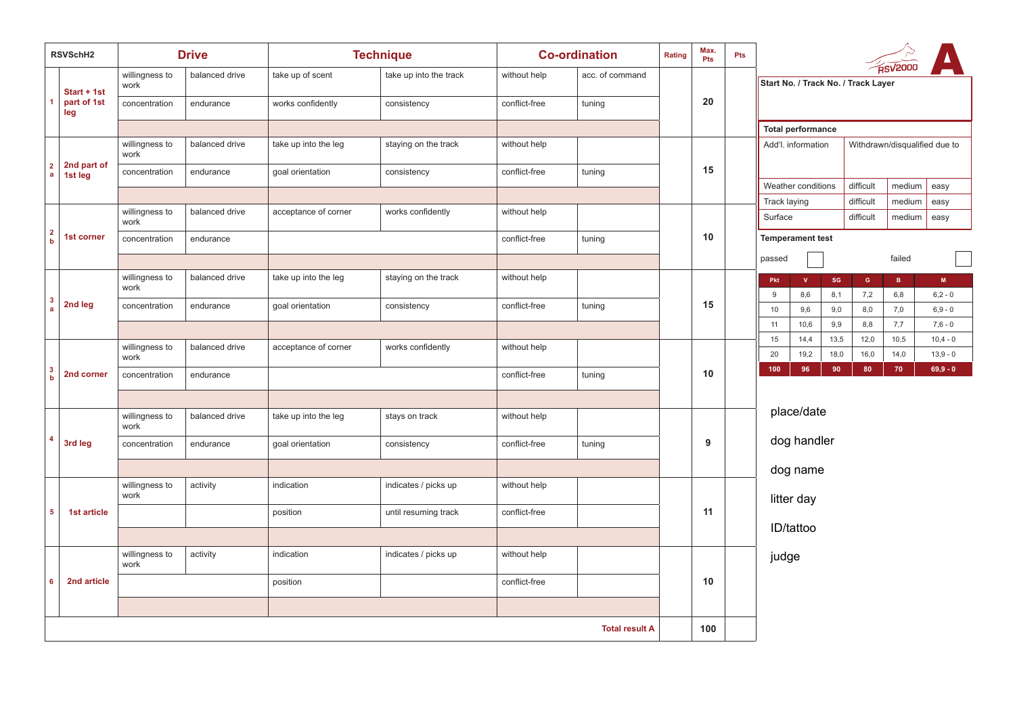| RSVSchH2                    |                        | <b>Drive</b>           |                | <b>Technique</b>     |                        | <b>Co-ordination</b> | Rating          | Max.<br>Pts | Pts |    |                                                       |                     |              |                     |                               |                          |                          |  |  |  |
|-----------------------------|------------------------|------------------------|----------------|----------------------|------------------------|----------------------|-----------------|-------------|-----|----|-------------------------------------------------------|---------------------|--------------|---------------------|-------------------------------|--------------------------|--------------------------|--|--|--|
|                             | Start + 1st            | willingness to<br>work | balanced drive | take up of scent     | take up into the track | without help         | acc. of command |             |     |    | <b>RSV2000</b><br>Start No. / Track No. / Track Layer |                     |              |                     |                               |                          |                          |  |  |  |
|                             | part of 1st<br>leg     | concentration          | endurance      | works confidently    | consistency            | conflict-free        | tuning          |             | 20  |    |                                                       |                     |              |                     |                               |                          |                          |  |  |  |
|                             |                        |                        |                |                      |                        |                      |                 |             |     |    | <b>Total performance</b>                              |                     |              |                     |                               |                          |                          |  |  |  |
| $\mathbf 2$<br>$\mathbf{a}$ |                        | willingness to<br>work | balanced drive | take up into the leg | staying on the track   | without help         |                 |             |     |    | Add'l. information                                    |                     |              |                     | Withdrawn/disqualified due to |                          |                          |  |  |  |
|                             | 2nd part of<br>1st leg | concentration          | endurance      | goal orientation     | consistency            | conflict-free        | tuning          |             | 15  |    | Weather conditions                                    |                     |              | difficult<br>medium |                               | easy                     |                          |  |  |  |
|                             |                        |                        |                |                      |                        |                      |                 |             |     |    | Track laying                                          |                     |              | difficult           | medium                        | easy                     |                          |  |  |  |
|                             |                        | willingness to<br>work | balanced drive | acceptance of corner | works confidently      | without help         |                 |             |     |    | Surface                                               |                     |              | difficult           | medium                        | easy                     |                          |  |  |  |
| $\frac{2}{b}$               | 1st corner             | concentration          | endurance      |                      |                        | conflict-free        | tuning          |             | 10  |    | <b>Temperament test</b>                               |                     |              |                     |                               |                          |                          |  |  |  |
|                             |                        |                        |                |                      |                        |                      |                 |             |     |    | passed                                                |                     |              |                     | failed                        |                          |                          |  |  |  |
| $\frac{3}{a}$               | 2nd leg                | willingness to<br>work | balanced drive | take up into the leg | staying on the track   | without help         |                 |             | 15  |    | Pkt<br>$9\,$                                          | $\mathbf{v}$<br>8,6 | SG<br>8,1    | $\mathsf G$<br>7,2  | $\mathbf{B}^-$<br>6,8         | $\mathbf M$<br>$6,2 - 0$ |                          |  |  |  |
|                             |                        | concentration          | endurance      | goal orientation     | consistency            | conflict-free        | tuning          |             |     |    | $10$                                                  | 9,6                 | 9,0          | 8,0                 | 7,0                           | $6,9 - 0$                |                          |  |  |  |
|                             |                        |                        |                |                      |                        |                      |                 |             |     |    | 11                                                    | 10,6                | 9,9          | 8,8                 | 7,7                           | $7,6 - 0$                |                          |  |  |  |
|                             | 2nd corner             | willingness to<br>work | balanced drive | acceptance of corner | works confidently      | without help         |                 |             |     | 10 |                                                       | 15<br>20            | 14,4<br>19,2 | 13,5<br>18,0        | 12,0<br>16,0                  | 10,5<br>14,0             | $10,4 - 0$<br>$13,9 - 0$ |  |  |  |
| $\frac{3}{b}$               |                        | concentration          | endurance      |                      |                        | conflict-free        | tuning          |             |     |    |                                                       | 100                 | 96           | 90                  | 80                            | 70                       | $69,9 - 0$               |  |  |  |
|                             |                        |                        |                |                      |                        |                      |                 |             |     |    |                                                       |                     |              |                     |                               |                          |                          |  |  |  |
|                             |                        | willingness to<br>work | balanced drive | take up into the leg | stays on track         | without help         |                 |             |     |    |                                                       | place/date          |              |                     |                               |                          |                          |  |  |  |
| $\overline{4}$              | 3rd leg                | concentration          | endurance      | goal orientation     | consistency            | conflict-free        | tuning          |             | 9   |    |                                                       | dog handler         |              |                     |                               |                          |                          |  |  |  |
|                             |                        |                        |                |                      |                        |                      |                 |             |     |    |                                                       | dog name            |              |                     |                               |                          |                          |  |  |  |
|                             |                        | willingness to<br>work | activity       | indication           | indicates / picks up   | without help         |                 |             |     |    |                                                       | litter day          |              |                     |                               |                          |                          |  |  |  |
| $\sqrt{5}$                  | 1st article            |                        |                | position             | until resuming track   | conflict-free        |                 |             | 11  |    |                                                       |                     |              |                     |                               |                          |                          |  |  |  |
|                             |                        |                        |                |                      |                        |                      |                 |             |     |    |                                                       | ID/tattoo           |              |                     |                               |                          |                          |  |  |  |
| 6                           |                        | willingness to<br>work | activity       | indication           | indicates / picks up   | without help         |                 |             |     |    | judge                                                 |                     |              |                     |                               |                          |                          |  |  |  |
|                             | 2nd article            |                        |                | position             |                        | conflict-free        |                 |             | 10  |    |                                                       |                     |              |                     |                               |                          |                          |  |  |  |
|                             |                        |                        |                |                      |                        |                      |                 |             |     |    |                                                       |                     |              |                     |                               |                          |                          |  |  |  |
| <b>Total result A</b>       |                        |                        |                |                      |                        |                      |                 |             | 100 |    |                                                       |                     |              |                     |                               |                          |                          |  |  |  |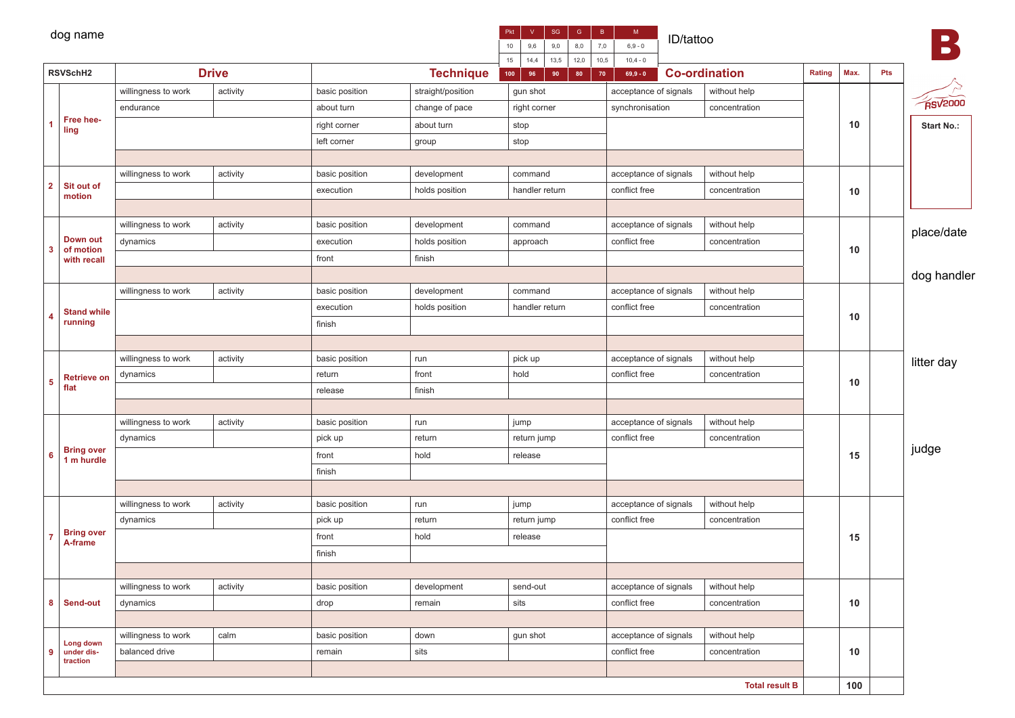|                | dog name                        |                     |              |                | SG<br>$\mid$ B $\mid$<br>$\mathsf{V}$<br>Pkt<br>7,0<br>10<br>9,6<br>9,0<br>8,0<br>15<br>13,5<br>12,0<br>10,5<br>14,4 | $\mathsf{M}^-$<br>ID/tattoo<br>$6,9 - 0$<br>$10,4 - 0$ |                       |                       |        |      | $\blacksquare$ |                        |
|----------------|---------------------------------|---------------------|--------------|----------------|----------------------------------------------------------------------------------------------------------------------|--------------------------------------------------------|-----------------------|-----------------------|--------|------|----------------|------------------------|
| RSVSchH2       |                                 |                     | <b>Drive</b> |                | <b>Technique</b>                                                                                                     |                                                        | 70<br>$69,9 - 0$      | <b>Co-ordination</b>  | Rating | Max. | Pts            |                        |
|                |                                 | willingness to work | activity     | basic position | straight/position                                                                                                    | gun shot                                               | acceptance of signals | without help          |        |      |                |                        |
|                |                                 | endurance           |              | about turn     | change of pace                                                                                                       | right corner                                           | synchronisation       | concentration         |        |      |                | $R$ sv <sup>2000</sup> |
| 1              | Free hee-<br>ling               |                     |              | right corner   | about turn                                                                                                           | stop                                                   |                       |                       |        | 10   |                | Start No.:             |
|                |                                 |                     |              | left corner    | group                                                                                                                | stop                                                   |                       |                       |        |      |                |                        |
|                |                                 |                     |              |                |                                                                                                                      |                                                        |                       |                       |        |      |                |                        |
| $\overline{2}$ |                                 | willingness to work | activity     | basic position | development                                                                                                          | command                                                | acceptance of signals | without help          |        |      |                |                        |
|                | Sit out of<br>motion            |                     |              | execution      | holds position                                                                                                       | handler return                                         | conflict free         | concentration         |        | 10   |                |                        |
|                |                                 |                     |              |                |                                                                                                                      |                                                        |                       |                       |        |      |                |                        |
|                |                                 | willingness to work | activity     | basic position | development                                                                                                          | command                                                | acceptance of signals | without help          |        |      |                |                        |
|                | Down out                        | dynamics            |              | execution      | holds position                                                                                                       | approach                                               | conflict free         | concentration         |        |      |                | place/date             |
| 3              | of motion<br>with recall        |                     |              | front          | finish                                                                                                               |                                                        |                       |                       |        | 10   |                |                        |
|                |                                 |                     |              |                |                                                                                                                      |                                                        |                       |                       |        |      |                | dog handler            |
|                |                                 | willingness to work | activity     | basic position | development                                                                                                          | command                                                | acceptance of signals | without help          |        |      |                |                        |
| 4              | <b>Stand while</b>              |                     |              | execution      | holds position                                                                                                       | conflict free<br>handler return<br>concentration       |                       |                       |        |      |                |                        |
|                | running                         |                     |              | finish         |                                                                                                                      |                                                        |                       |                       |        | 10   |                |                        |
|                |                                 |                     |              |                |                                                                                                                      |                                                        |                       |                       |        |      |                |                        |
|                |                                 | willingness to work | activity     | basic position | run                                                                                                                  | pick up                                                | acceptance of signals | without help          |        |      |                | litter day             |
|                | <b>Retrieve on</b>              | dynamics            |              | return         | front                                                                                                                | hold                                                   | conflict free         | concentration         |        |      |                |                        |
| 5              | flat                            |                     |              | release        | finish                                                                                                               |                                                        |                       |                       |        | 10   |                |                        |
|                |                                 |                     |              |                |                                                                                                                      |                                                        |                       |                       |        |      |                |                        |
|                |                                 | willingness to work | activity     | basic position | run                                                                                                                  | jump                                                   | acceptance of signals | without help          |        |      |                |                        |
|                |                                 | dynamics            |              | pick up        | return                                                                                                               | return jump                                            | conflict free         | concentration         |        |      |                |                        |
| 6              | <b>Bring over</b><br>1 m hurdle |                     |              | front          | hold                                                                                                                 | release                                                |                       |                       |        | 15   |                | judge                  |
|                |                                 |                     |              | finish         |                                                                                                                      |                                                        |                       |                       |        |      |                |                        |
|                |                                 |                     |              |                |                                                                                                                      |                                                        |                       |                       |        |      |                |                        |
|                |                                 | willingness to work | activity     | basic position | run                                                                                                                  | jump                                                   | acceptance of signals | without help          |        |      |                |                        |
|                |                                 | dynamics            |              | pick up        | return                                                                                                               | return jump                                            | conflict free         | concentration         |        |      |                |                        |
|                | <b>Bring over</b><br>A-frame    |                     |              | front<br>hold  |                                                                                                                      | release                                                |                       |                       |        | 15   |                |                        |
|                |                                 |                     |              | finish         |                                                                                                                      |                                                        |                       |                       |        |      |                |                        |
|                |                                 |                     |              |                |                                                                                                                      |                                                        |                       |                       |        |      |                |                        |
|                |                                 | willingness to work | activity     | basic position | development                                                                                                          | send-out                                               | acceptance of signals | without help          |        |      |                |                        |
|                | 8 Send-out                      | dynamics            |              | drop<br>remain |                                                                                                                      | sits                                                   | conflict free         | concentration         |        | 10   |                |                        |
|                |                                 |                     |              |                |                                                                                                                      |                                                        |                       |                       |        |      |                |                        |
|                | Long down                       | willingness to work | calm         | basic position | down                                                                                                                 | gun shot                                               | acceptance of signals | without help          |        |      |                |                        |
| 9              | under dis-<br>traction          | balanced drive      |              | remain         | sits                                                                                                                 |                                                        | conflict free         | concentration         |        | 10   |                |                        |
|                |                                 |                     |              |                |                                                                                                                      |                                                        |                       |                       |        |      |                |                        |
|                |                                 |                     |              |                |                                                                                                                      |                                                        |                       | <b>Total result B</b> |        | 100  |                |                        |